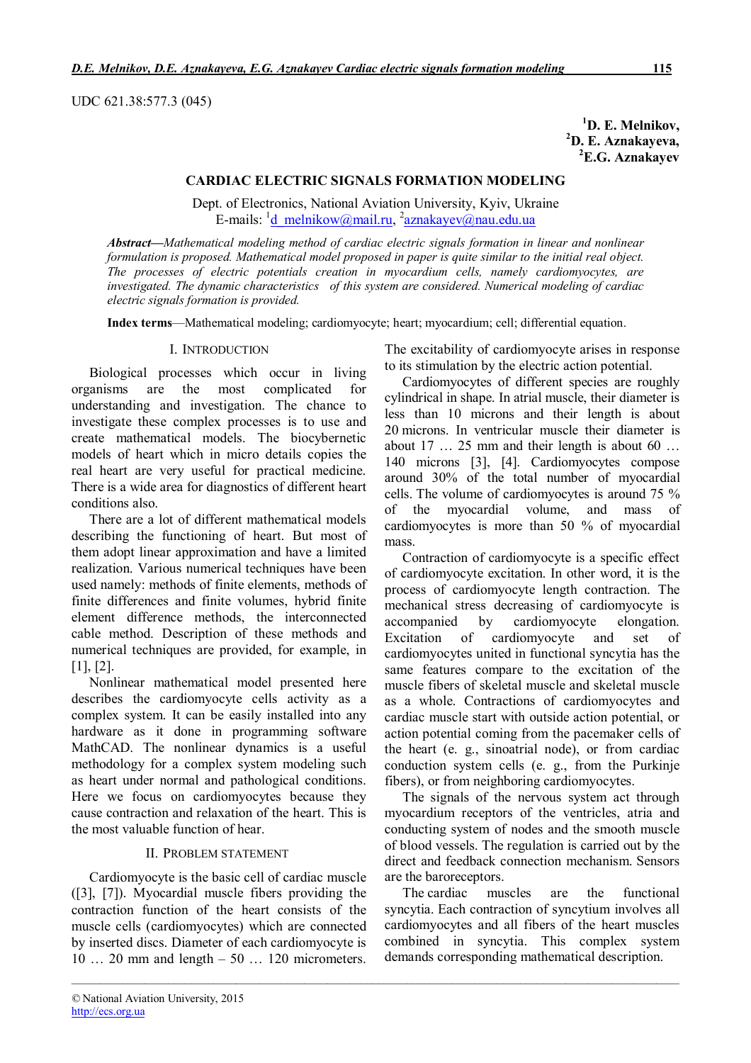UDC 621.38:577.3 (045)

**<sup>1</sup>D. E. Melnikov, <sup>2</sup>D. E. Aznakayeva, <sup>2</sup>E.G. Aznakayev**

## **CARDIAC ELECTRIC SIGNALS FORMATION MODELING**

Dept. of Electronics, National Aviation University, Kyiv, Ukraine E-mails: <sup>1</sup>d\_melnikow@mail.ru, <sup>2</sup>aznakayev@nau.edu.ua

*Abstract***—***Mathematical modeling method of cardiac electric signals formation in linear and nonlinear formulation is proposed. Mathematical model proposed in paper is quite similar to the initial real object. The processes of electric potentials creation in myocardium cells, namely cardiomyocytes, are investigated. The dynamic characteristics of this system are considered. Numerical modeling of cardiac electric signals formation is provided.*

**Index terms**—Mathematical modeling; cardiomyocyte; heart; myocardium; cell; differential equation.

*\_\_\_\_\_\_\_\_\_\_\_\_\_\_\_\_\_\_\_\_\_\_\_\_\_\_\_\_\_\_\_\_\_\_\_\_\_\_\_\_\_\_\_\_\_\_\_\_\_\_\_\_\_\_\_\_\_\_\_\_\_\_\_\_\_\_\_\_\_\_\_\_\_\_\_\_\_\_\_\_\_\_\_\_\_\_\_\_\_\_\_\_\_\_\_\_\_\_\_\_\_\_\_\_\_\_\_*

### I. INTRODUCTION

Biological processes which occur in living organisms are the most complicated for understanding and investigation. The chance to investigate these complex processes is to use and create mathematical models. The biocybernetic models of heart which in micro details copies the real heart are very useful for practical medicine. There is a wide area for diagnostics of different heart conditions also.

There are a lot of different mathematical models describing the functioning of heart. But most of them adopt linear approximation and have a limited realization. Various numerical techniques have been used namely: methods of finite elements, methods of finite differences and finite volumes, hybrid finite element difference methods, the interconnected cable method. Description of these methods and numerical techniques are provided, for example, in [1], [2].

Nonlinear mathematical model presented here describes the cardiomyocyte cells activity as a complex system. It can be easily installed into any hardware as it done in programming software MathCAD. The nonlinear dynamics is a useful methodology for a complex system modeling such as heart under normal and pathological conditions. Here we focus on cardiomyocytes because they cause contraction and relaxation of the heart. This is the most valuable function of hear.

## II. PROBLEM STATEMENT

Cardiomyocyte is the basic cell of cardiac muscle ([3], [7]). Myocardial muscle fibers providing the contraction function of the heart consists of the muscle cells (cardiomyocytes) which are connected by inserted discs. Diameter of each cardiomyocyte is 10 … 20 mm and length – 50 … 120 micrometers. The excitability of cardiomyocyte arises in response to its stimulation by the electric action potential.

Cardiomyocytes of different species are roughly cylindrical in shape. In atrial muscle, their diameter is less than 10 microns and their length is about 20 microns. In ventricular muscle their diameter is about  $17 \ldots 25$  mm and their length is about  $60 \ldots$ 140 microns [3], [4]. Cardiomyocytes compose around 30% of the total number of myocardial cells. The volume of cardiomyocytes is around 75 % of the myocardial volume, and mass of cardiomyocytes is more than 50 % of myocardial mass.

Contraction of cardiomyocyte is a specific effect of cardiomyocyte excitation. In other word, it is the process of cardiomyocyte length contraction. The mechanical stress decreasing of cardiomyocyte is accompanied by cardiomyocyte elongation. Excitation of cardiomyocyte and set of cardiomyocytes united in functional syncytia has the same features compare to the excitation of the muscle fibers of skeletal muscle and skeletal muscle as a whole. Contractions of cardiomyocytes and cardiac muscle start with outside action potential, or action potential coming from the pacemaker cells of the heart (e. g., sinoatrial node), or from cardiac conduction system cells (e. g., from the Purkinje fibers), or from neighboring cardiomyocytes.

The signals of the nervous system act through myocardium receptors of the ventricles, atria and conducting system of nodes and the smooth muscle of blood vessels. The regulation is carried out by the direct and feedback connection mechanism. Sensors are the baroreceptors.

The cardiac muscles are the functional syncytia. Each contraction of syncytium involves all cardiomyocytes and all fibers of the heart muscles combined in syncytia. This complex system demands corresponding mathematical description.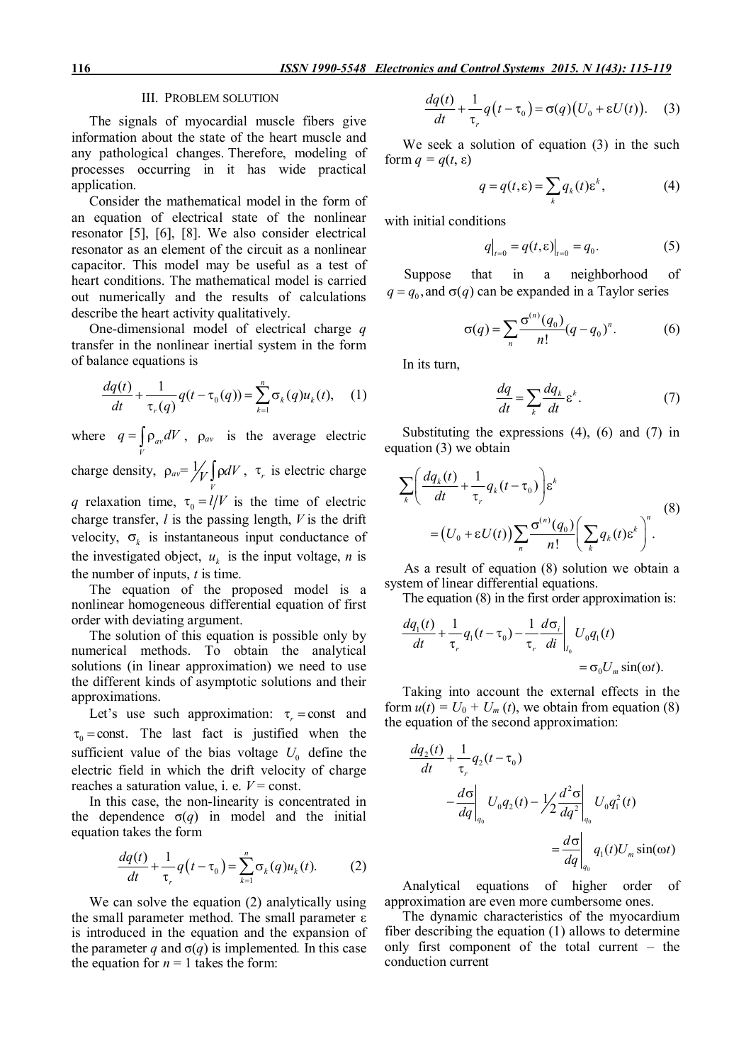### III. PROBLEM SOLUTION

The signals of myocardial muscle fibers give information about the state of the heart muscle and any pathological changes. Therefore, modeling of processes occurring in it has wide practical application.

Consider the mathematical model in the form of an equation of electrical state of the nonlinear resonator [5], [6], [8]. We also consider electrical resonator as an element of the circuit as a nonlinear capacitor. This model may be useful as a test of heart conditions. The mathematical model is carried out numerically and the results of calculations describe the heart activity qualitatively.

One-dimensional model of electrical charge *q* transfer in the nonlinear inertial system in the form of balance equations is

$$
\frac{dq(t)}{dt} + \frac{1}{\tau_r(q)}q(t - \tau_0(q)) = \sum_{k=1}^n \sigma_k(q)u_k(t), \quad (1)
$$

where  $q = \rho_{av}$  $q = \int_{V} \rho_{av} dV$ ,  $\rho_{av}$  is the average electric

charge density,  $\rho_{av} = \frac{1}{2}$  $\mathcal{U}_V$  od  $V$ ,  $\tau_r$  is electric charge

*q* relaxation time,  $\tau_0 = l/V$  is the time of electric charge transfer, *l* is the passing length, *V* is the drift velocity,  $\sigma_k$  is instantaneous input conductance of the investigated object,  $u_k$  is the input voltage, *n* is the number of inputs, *t* is time.

The equation of the proposed model is a nonlinear homogeneous differential equation of first order with deviating argument.

The solution of this equation is possible only by numerical methods. To obtain the analytical solutions (in linear approximation) we need to use the different kinds of asymptotic solutions and their approximations.

Let's use such approximation:  $\tau_r$  = const and  $\tau_0$  = const. The last fact is justified when the sufficient value of the bias voltage  $U_0$  define the electric field in which the drift velocity of charge reaches a saturation value, i. e.  $V = const.$ 

In this case, the non-linearity is concentrated in the dependence  $\sigma(q)$  in model and the initial equation takes the form

$$
\frac{dq(t)}{dt} + \frac{1}{\tau_r}q(t-\tau_0) = \sum_{k=1}^n \sigma_k(q)u_k(t).
$$
 (2)

We can solve the equation (2) analytically using the small parameter method. The small parameter ε is introduced in the equation and the expansion of the parameter *q* and  $\sigma(q)$  is implemented. In this case the equation for  $n = 1$  takes the form:

$$
\frac{dq(t)}{dt} + \frac{1}{\tau_r}q(t-\tau_0) = \sigma(q)(U_0 + \varepsilon U(t)).
$$
 (3)

We seek a solution of equation (3) in the such form *q = q*(*t*, ε)

$$
q = q(t, \varepsilon) = \sum_{k} q_{k}(t) \varepsilon^{k}, \qquad (4)
$$

with initial conditions

$$
q|_{t=0} = q(t, \varepsilon)|_{t=0} = q_0.
$$
 (5)

Suppose that in a neighborhood of  $q = q_0$ , and  $\sigma(q)$  can be expanded in a Taylor series

$$
\sigma(q) = \sum_{n} \frac{\sigma^{(n)}(q_0)}{n!} (q - q_0)^n.
$$
 (6)

In its turn,

$$
\frac{dq}{dt} = \sum_{k} \frac{dq_k}{dt} \varepsilon^k.
$$
 (7)

Substituting the expressions  $(4)$ ,  $(6)$  and  $(7)$  in equation (3) we obtain

$$
\sum_{k} \left( \frac{dq_k(t)}{dt} + \frac{1}{\tau_r} q_k(t - \tau_0) \right) \varepsilon^k
$$
  
=  $(U_0 + \varepsilon U(t)) \sum_{n} \frac{\sigma^{(n)}(q_0)}{n!} \left( \sum_{k} q_k(t) \varepsilon^k \right)^n$ . (8)

As a result of equation (8) solution we obtain a system of linear differential equations.

The equation (8) in the first order approximation is:

$$
\frac{dq_1(t)}{dt} + \frac{1}{\tau_r}q_1(t - \tau_0) - \frac{1}{\tau_r} \frac{d\sigma_i}{dt}\bigg|_{I_0} U_0 q_1(t)
$$
  
=  $\sigma_0 U_m \sin(\omega t)$ .

Taking into account the external effects in the form  $u(t) = U_0 + U_m(t)$ , we obtain from equation (8) the equation of the second approximation:

$$
\frac{dq_2(t)}{dt} + \frac{1}{\tau_r} q_2(t - \tau_0)
$$
\n
$$
-\frac{d\sigma}{dq}\bigg|_{q_0} U_0 q_2(t) - \frac{1}{2} \frac{d^2\sigma}{dq^2}\bigg|_{q_0} U_0 q_1^2(t)
$$
\n
$$
= \frac{d\sigma}{dq}\bigg|_{q_0} q_1(t)U_m \sin(\omega t)
$$

Analytical equations of higher order of approximation are even more cumbersome ones.

The dynamic characteristics of the myocardium fiber describing the equation (1) allows to determine only first component of the total current – the conduction current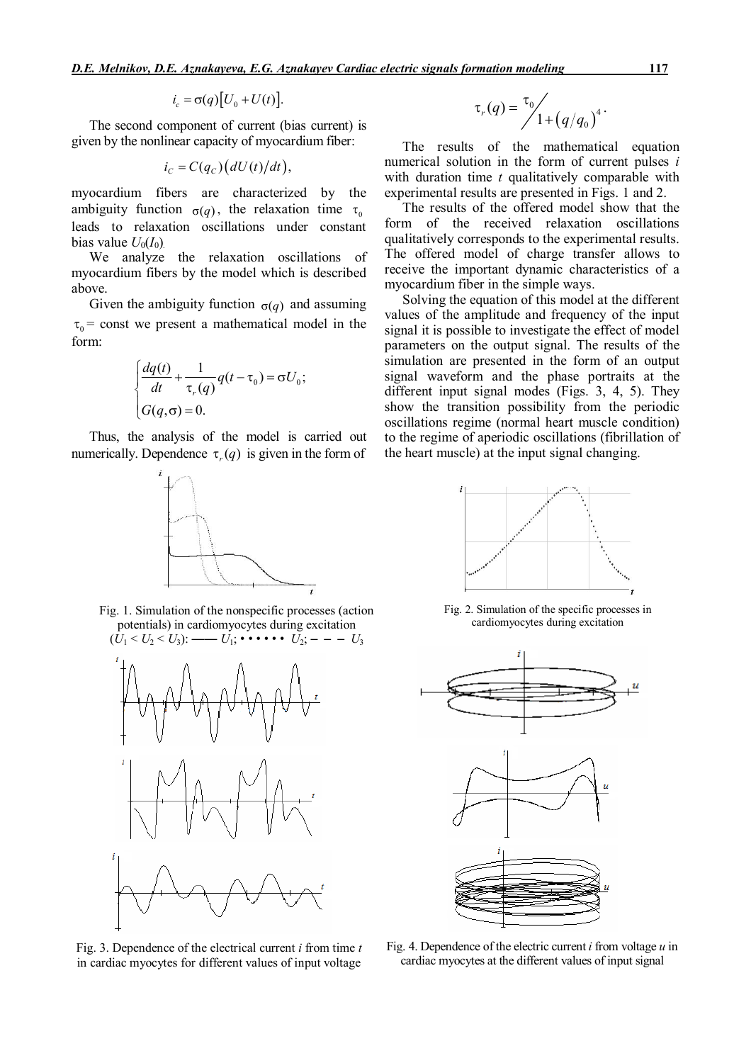$$
i_c = \sigma(q)[U_0 + U(t)].
$$

The second component of current (bias current) is given by the nonlinear capacity of myocardium fiber:

$$
i_C = C(q_C)(dU(t)/dt),
$$

myocardium fibers are characterized by the ambiguity function  $\sigma(q)$ , the relaxation time  $\tau_0$ leads to relaxation oscillations under constant bias value  $U_0(I_0)$ .

We analyze the relaxation oscillations of myocardium fibers by the model which is described above.

Given the ambiguity function  $\sigma(q)$  and assuming  $\tau_0$  = const we present a mathematical model in the form:

$$
\begin{cases} \frac{dq(t)}{dt} + \frac{1}{\tau_r(q)} q(t - \tau_0) = \sigma U_0; \\ G(q, \sigma) = 0. \end{cases}
$$

Thus, the analysis of the model is carried out numerically. Dependence  $\tau$ ,  $(q)$  is given in the form of



Fig. 1. Simulation of the nonspecific processes (action potentials) in cardiomyocytes during excitation



Fig. 3. Dependence of the electrical current *i* from time *t* in cardiac myocytes for different values of input voltage

$$
\tau_r(q) = \frac{\tau_0}{1 + (q/q_0)^4}.
$$

The results of the mathematical equation numerical solution in the form of current pulses *i* with duration time *t* qualitatively comparable with experimental results are presented in Figs. 1 and 2.

The results of the offered model show that the form of the received relaxation oscillations qualitatively corresponds to the experimental results. The offered model of charge transfer allows to receive the important dynamic characteristics of a myocardium fiber in the simple ways.

Solving the equation of this model at the different values of the amplitude and frequency of the input signal it is possible to investigate the effect of model parameters on the output signal. The results of the simulation are presented in the form of an output signal waveform and the phase portraits at the different input signal modes (Figs. 3, 4, 5). They show the transition possibility from the periodic oscillations regime (normal heart muscle condition) to the regime of aperiodic oscillations (fibrillation of the heart muscle) at the input signal changing.



Fig. 2. Simulation of the specific processes in cardiomyocytes during excitation



Fig. 4. Dependence of the electric current *i* from voltage *u* in cardiac myocytes at the different values of input signal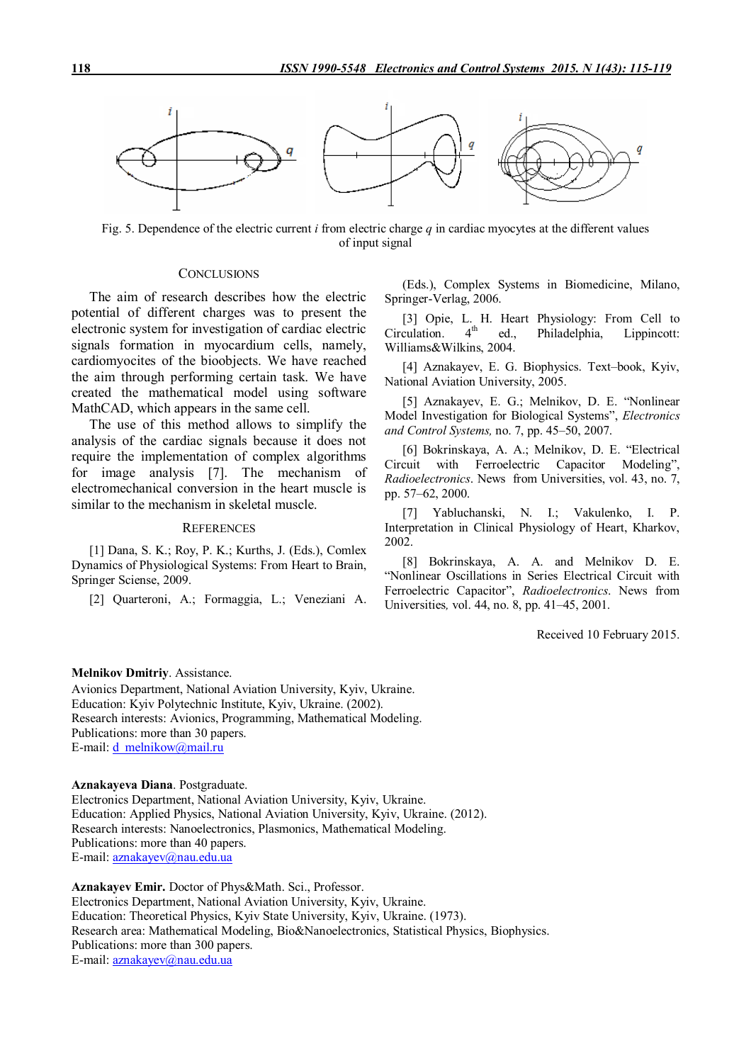

Fig. 5. Dependence of the electric current *i* from electric charge *q* in cardiac myocytes at the different values of input signal

## **CONCLUSIONS**

The aim of research describes how the electric potential of different charges was to present the electronic system for investigation of cardiac electric signals formation in myocardium cells, namely, cardiomyocites of the bioobjects. We have reached the aim through performing certain task. We have created the mathematical model using software MathCAD, which appears in the same cell.

The use of this method allows to simplify the analysis of the cardiac signals because it does not require the implementation of complex algorithms for image analysis [7]. The mechanism of electromechanical conversion in the heart muscle is similar to the mechanism in skeletal muscle.

#### **REFERENCES**

[1] Dana, S. K.; Roy, P. K.; Kurths, J. (Eds.), Comlex Dynamics of Physiological Systems: From Heart to Brain, Springer Sciense, 2009.

[2] Quarteroni, A.; Formaggia, L.; Veneziani A.

(Eds.), Complex Systems in Biomedicine, Milano, Springer-Verlag, 2006.

[3] Opie, L. H. Heart Physiology: From Cell to culation  $4<sup>th</sup>$  ed Philadelphia Lippincott:  $Circulation.$   $4<sup>th</sup>$  ed., Philadelphia, Lippincott: Williams&Wilkins, 2004.

[4] Aznakayev, E. G. Biophysics. Text–book, Kyiv, National Aviation University, 2005.

[5] Aznakayev, E. G.; Melnikov, D. E. "Nonlinear Model Investigation for Biological Systems", *Electronics and Control Systems,* no. 7, pp. 45–50, 2007.

[6] Bokrinskaya, A. A.; Melnikov, D. E. "Electrical Circuit with Ferroelectric Capacitor Modeling", *Radioelectronics*. News from Universities, vol. 43, no. 7, pp. 57–62, 2000.

[7] Yabluchanski, N. I.; Vakulenko, I. P. Interpretation in Clinical Physiology of Heart, Kharkov, 2002.

[8] Bokrinskaya, A. A. and Melnikov D. E. "Nonlinear Oscillations in Series Electrical Circuit with Ferroelectric Capacitor", *Radioelectronics*. News from Universities*,* vol. 44, no. 8, pp. 41–45, 2001.

Received 10 February 2015.

### **Melnikov Dmitriy**. Assistance.

Avionics Department, National Aviation University, Kyiv, Ukraine. Education: Kyiv Polytechnic Institute, Kyiv, Ukraine. (2002). Research interests: Avionics, Programming, Mathematical Modeling. Publications: more than 30 papers. E-mail: d\_melnikow@mail.ru

**Aznakayeva Diana**. Postgraduate.

Electronics Department, National Aviation University, Kyiv, Ukraine. Education: Applied Physics, National Aviation University, Kyiv, Ukraine. (2012). Research interests: Nanoelectronics, Plasmonics, Mathematical Modeling. Publications: more than 40 papers. E-mail: aznakayev@nau.edu.ua

**Aznakayev Emir.** Doctor of Phys&Math. Sci., Professor. Electronics Department, National Aviation University, Kyiv, Ukraine. Education: Theoretical Physics, Kyiv State University, Kyiv, Ukraine. (1973). Research area: Mathematical Modeling, Bio&Nanoelectronics, Statistical Physics, Biophysics. Publications: more than 300 papers. E-mail: aznakayev@nau.edu.ua